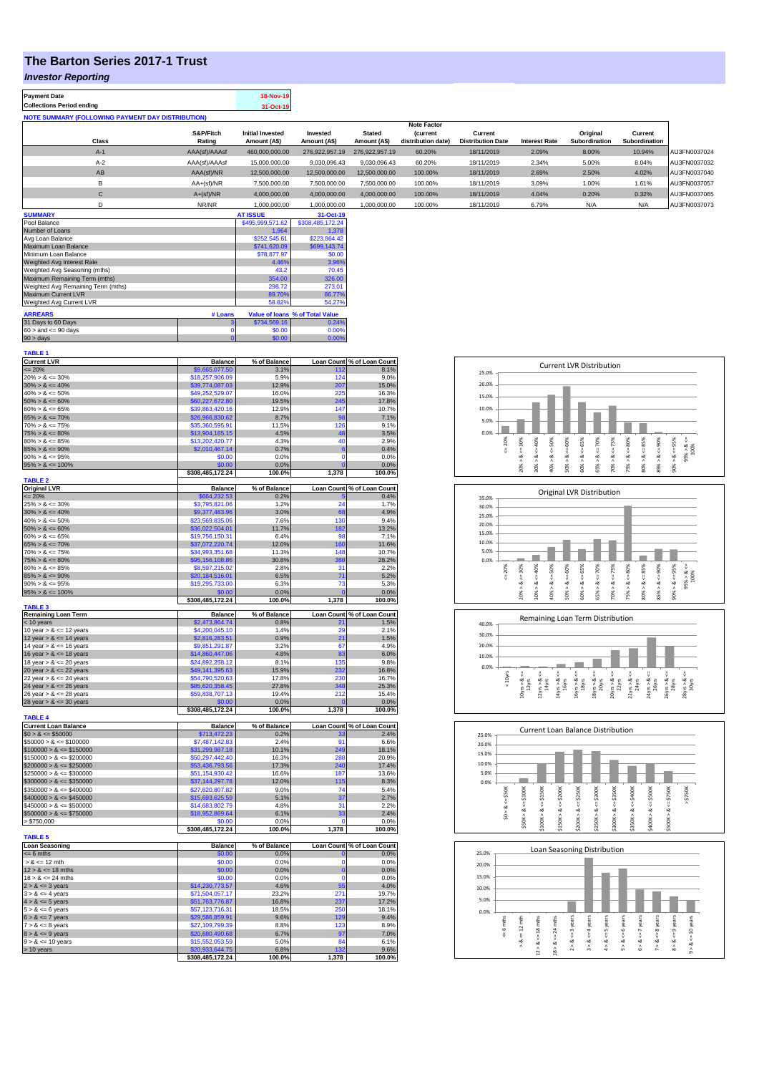## **The Barton Series 2017-1 Trust**

## *Investor Reporting*

| 18-Nov-19 |
|-----------|
| 31-Oct-19 |
|           |

| <b>NOTE SUMMARY (FOLLOWING PAYMENT DAY DISTRIBUTION)</b> |                     |                                         |                             |                               |                                                             |                                     |                      |                           |                          |              |
|----------------------------------------------------------|---------------------|-----------------------------------------|-----------------------------|-------------------------------|-------------------------------------------------------------|-------------------------------------|----------------------|---------------------------|--------------------------|--------------|
| <b>Class</b>                                             | S&P/Fitch<br>Rating | <b>Initial Invested</b><br>Amount (A\$) | Invested<br>Amount (A\$)    | <b>Stated</b><br>Amount (A\$) | <b>Note Factor</b><br><i>(current</i><br>distribution date) | Current<br><b>Distribution Date</b> | <b>Interest Rate</b> | Original<br>Subordination | Current<br>Subordination |              |
| $A-1$                                                    | AAA(sf)/AAAsf       | 460,000,000.00                          | 276.922.957.19              | 276.922.957.19                | 60.20%                                                      | 18/11/2019                          | 2.09%                | 8.00%                     | 10.94%                   | AU3FN0037024 |
| $A-2$                                                    | AAA(sf)/AAAsf       | 15,000,000.00                           | 9,030,096.43                | 9,030,096.43                  | 60.20%                                                      | 18/11/2019                          | 2.34%                | 5.00%                     | 8.04%                    | AU3FN0037032 |
| AB                                                       | AAA(sf)/NR          | 12.500.000.00                           | 12.500.000.00               | 12,500,000,00                 | 100.00%                                                     | 18/11/2019                          | 2.69%                | 2.50%                     | 4.02%                    | AU3FN0037040 |
| B                                                        | $AA+(sf)/NR$        | 7,500,000.00                            | 7,500,000.00                | 7,500,000.00                  | 100.00%                                                     | 18/11/2019                          | 3.09%                | 1.00%                     | 1.61%                    | AU3FN0037057 |
| С                                                        | $A+(sf)/NR$         | 4,000,000.00                            | 4,000,000.00                | 4,000,000.00                  | 100.00%                                                     | 18/11/2019                          | 4.04%                | 0.20%                     | 0.32%                    | AU3FN0037065 |
|                                                          | NR/NR               | 1.000.000.00                            | 1.000.000.00                | 1.000.000.00                  | 100.00%                                                     | 18/11/2019                          | 6.79%                | N/A                       | N/A                      | AU3FN0037073 |
| A                                                        |                     | 17.00117                                | $\sim$ $\sim$ $\sim$ $\sim$ |                               |                                                             |                                     |                      |                           |                          |              |

| <b>SUMMARY</b>                     |             | <b>AT ISSUE</b>  | 31-Oct-19                       |
|------------------------------------|-------------|------------------|---------------------------------|
| Pool Balance                       |             | \$495,999,571.62 | \$308,485,172.24                |
| Number of Loans                    |             | 1.964            | 1.378                           |
| Avg Loan Balance                   |             | \$252,545.61     | \$223,864.42                    |
| Maximum Loan Balance               |             | \$741,620.09     | \$699,143.74                    |
| Minimum Loan Balance               |             | \$78,877.97      | \$0.00                          |
| Weighted Avg Interest Rate         |             | 4.46%            | 3.96%                           |
| Weighted Avg Seasoning (mths)      |             | 43.2             | 70.45                           |
| Maximum Remaining Term (mths)      |             | 354.00           | 326.00                          |
| Weighted Avg Remaining Term (mths) |             | 298.72           | 273.01                          |
| Maximum Current LVR                |             | 89.70%           | 86.77%                          |
| Weighted Avg Current LVR           |             | 58.82%           | 54.27%                          |
| <b>ARREARS</b>                     | # Loans     |                  | Value of Ioans % of Total Value |
| 31 Days to 60 Days                 | з           | \$734,569.16     | 0.24%                           |
| $60 >$ and $\leq 90$ days          |             | \$0.00           | 0.00%                           |
| $90 > \text{days}$                 | $\mathbf 0$ | \$0.00           | 0.00%                           |

| <b>TABLE 1</b>                                        |                                    |                |                      |                            |
|-------------------------------------------------------|------------------------------------|----------------|----------------------|----------------------------|
| <b>Current LVR</b>                                    | <b>Balance</b>                     | % of Balance   |                      | Loan Count % of Loan Count |
| $= 20%$                                               | \$9,665,077.50                     | 3.1%           | 112                  | 8.1%                       |
| $20\% > 8 \le 30\%$                                   | \$18,257,906.09                    | 5.9%           | 124                  | 9.0%                       |
| $30\% > 8 \le 40\%$                                   | \$39,774,087.03                    | 12.9%          | 207                  | 15.0%                      |
| $40\% > 8 \le 50\%$                                   | \$49,252,529.07                    | 16.0%          | 225<br>245           | 16.3%                      |
| $50\% > 8 \le 60\%$<br>$60\% > 8 \le 65\%$            | \$60,227,672.80<br>\$39,863,420.16 | 19.5%<br>12.9% | 147                  | 17.8%<br>10.7%             |
| $65\% > 8 \le 70\%$                                   | \$26,966,830.62                    | 8.7%           | 98                   | 7.1%                       |
| $70\% > 8 \le 75\%$                                   | \$35,360,595.91                    | 11.5%          | 126                  | 9.1%                       |
| $75\% > 8 \le 80\%$                                   | \$13,904,165.15                    | 4.5%           | 48                   | 3.5%                       |
| $80\% > 8 \le 85\%$                                   | \$13,202,420.77                    | 4.3%           | 40                   | 2.9%                       |
| $85\% > 8 \le 90\%$                                   | \$2,010,467.14                     | 0.7%           | 6                    | 0.4%                       |
| $90\% > 8 \le 95\%$                                   | \$0.00                             | 0.0%           | $\mathbf 0$          | 0.0%                       |
| $95\% > 8 \le 100\%$                                  | \$0.00                             | 0.0%           | $\overline{0}$       | 0.0%                       |
|                                                       | \$308,485,172.24                   | 100.0%         | 1,378                | 100.0%                     |
| <b>TABLE 2</b>                                        |                                    |                |                      |                            |
| <b>Original LVR</b>                                   | <b>Balance</b>                     | % of Balance   |                      | Loan Count % of Loan Count |
| $= 20%$                                               | \$664,232.53                       | 0.2%           | 5                    | 0.4%                       |
| $25\% > 8 \le 30\%$                                   | \$3,795,821.06                     | 1.2%           | 24                   | 1.7%                       |
| $30\% > 8 \le 40\%$                                   | \$9,377,483.96                     | 3.0%           | 68                   | 4.9%                       |
| $40\% > 8 \le 50\%$                                   | \$23,569,835.06                    | 7.6%           | 130                  | 9.4%                       |
| $50\% > 8 \le 60\%$                                   | \$36,022,504.01                    | 11.7%          | 182                  | 13.2%                      |
| $60\% > 8 \le 65\%$                                   | \$19,756,150.31                    | 6.4%           | 98                   | 7.1%                       |
| $65\% > 8 \le 70\%$                                   | \$37,072,220.74                    | 12.0%          | 160                  | 11.6%                      |
| $70\% > 8 \le 75\%$                                   | \$34,993,351.68                    | 11.3%          | 148                  | 10.7%                      |
| $75\% > 8 \le 80\%$                                   | \$95,156,108.86                    | 30.8%          | 388                  | 28.2%                      |
| $80\% > 8 \le 85\%$                                   | \$8,597,215.02                     | 2.8%           | 31                   | 2.2%                       |
| $85\% > 8 \le 90\%$                                   | \$20,184,516.01                    | 6.5%           | 71                   | 5.2%                       |
| $90\% > 8 \le 95\%$                                   | \$19,295,733.00<br>\$0.00          | 6.3%<br>0.0%   | 73<br>$\overline{0}$ | 5.3%                       |
| $95\% > 8 \le 100\%$                                  |                                    | 100.0%         | 1,378                | 0.0%                       |
| <b>TABLE 3</b>                                        | \$308,485,172.24                   |                |                      | 100.0%                     |
| <b>Remaining Loan Term</b>                            | <b>Balance</b>                     | % of Balance   |                      | Loan Count % of Loan Count |
| < 10 years                                            | \$2,473,864.74                     | 0.8%           |                      | 1.5%                       |
| 10 year $> 8 \le 12$ years                            | \$4,200,045.10                     | 1.4%           | 20                   | 2.1%                       |
| 12 year $> 8 \le 14$ years                            | \$2,816,283.51                     | 0.9%           | 21                   | 1.5%                       |
| 14 year $> 8 \le 16$ years                            | \$9,851,291.87                     | 3.2%           | 67                   | 4.9%                       |
| 16 year $> 8 \le 18$ years                            | \$14,860,447.06                    | 4.8%           | 83                   | 6.0%                       |
| 18 year $> 8 \le 20$ years                            | \$24,892,258.12                    | 8.1%           | 135                  | 9.8%                       |
| 20 year $> 8 \le 22$ years                            | \$49,141,395.63                    | 15.9%          | 232                  | 16.8%                      |
| 22 year $> 8 \le 24$ years                            | \$54,790,520.63                    | 17.8%          | 230                  | 16.7%                      |
| 24 year $> 8 \le 26$ years                            | \$85,620,358.45                    | 27.8%          | 348                  | 25.3%                      |
| 26 year $> 8 \le 28$ years                            | \$59,838,707.13                    | 19.4%          | 212                  | 15.4%                      |
| 28 year $> 8 \le 30$ years                            | \$0.00                             | 0.0%           | $\overline{0}$       | 0.0%                       |
|                                                       | \$308,485,172.24                   | 100.0%         | 1,378                | 100.0%                     |
| <b>TABLE 4</b>                                        |                                    |                |                      |                            |
| <b>Current Loan Balance</b>                           | <b>Balance</b>                     | % of Balance   |                      | Loan Count % of Loan Count |
| $$0 > 8 \le $50000$                                   | \$713,472.23                       | 0.2%           | 33                   | 2.4%                       |
| $$50000 > 8 \le $100000$<br>$$100000 > 8 \le $150000$ | \$7,487,142.83<br>\$31,299,987.18  | 2.4%<br>10.1%  | 91<br>249            | 6.6%<br>18.1%              |
| $$150000 > 8 \le $200000$                             | \$50,297,442.40                    | 16.3%          | 288                  | 20.9%                      |
| $$200000 > 8 \leq $250000$                            | \$53,436,793.56                    | 17.3%          | 240                  | 17.4%                      |
| $$250000 > 8 \le $300000$                             | \$51,154,930.42                    | 16.6%          | 187                  | 13.6%                      |
| $$300000 > 8 \le $350000$                             | \$37,144,297.78                    | 12.0%          | 115                  | 8.3%                       |
| $$350000 > 8 \le $400000$                             | \$27,620,807.82                    | 9.0%           | 74                   | 5.4%                       |
| $$400000 > 8 \le $450000$                             | \$15,693,625.59                    | 5.1%           | 37                   | 2.7%                       |
| $$450000 > 8 \le $500000$                             | \$14,683,802.79                    | 4.8%           | 31                   | 2.2%                       |
| $$500000 > 8 \le $750000$                             | \$18,952,869.64                    | 6.1%           | 33                   | 2.4%                       |
| > \$750,000                                           | \$0.00                             | 0.0%           | $\Omega$             | 0.0%                       |
|                                                       | \$308,485,172.24                   | 100.0%         | 1,378                | 100.0%                     |
| <b>TABLE 5</b>                                        |                                    |                |                      |                            |
| <b>Loan Seasoning</b>                                 | <b>Balance</b>                     | % of Balance   |                      | Loan Count % of Loan Count |
| $= 6$ mths                                            | \$0.00                             | 0.0%           | $\mathbf{0}$         | 0.0%                       |
| $> 8 \le 12$ mth                                      | \$0.00                             | 0.0%           | $\Omega$             | 0.0%                       |
| $12 > 8 \le 18$ mths                                  | \$0.00                             | 0.0%           | $\bf{0}$             | 0.0%                       |
| $18 > 8 \le 24$ mths                                  | \$0.00                             | 0.0%           | $\Omega$             | 0.0%                       |
| $2 > 8 \le 3$ years                                   | \$14,230,773.57                    | 4.6%           | 55                   | 4.0%                       |
| $3 > 8 \le 4$ years                                   | \$71,504,057.17                    | 23.2%          | 271                  | 19.7%                      |
| $4 > 8 \le 5$ years                                   | \$51,763,776.87                    | 16.8%          | 237                  | 17.2%                      |
| $5 > 8 \le 6$ years                                   | \$57,123,716.31                    | 18.5%          | 250                  | 18.1%                      |
| $6 > 8 \le 7$ years                                   | \$29,586,859.91                    | 9.6%           | 129                  | 9.4%                       |
| $7 > 8 \le 8$ years                                   | \$27,109,799.39                    | 8.8%           | 123                  | 8.9%                       |
| $8 > 8 \le 9$ years                                   | \$20,680,490.68                    | 6.7%<br>5.0%   | 97<br>84             | 7.0%                       |
| $9 > 8 \le 10$ years                                  | \$15,552,053.59<br>\$20,933,644.75 | 6.8%           | 132                  | 6.1%<br>9.6%               |
| > 10 years                                            |                                    | 100.0%         | 1,378                | 100.0%                     |
|                                                       | \$308,485,172.24                   |                |                      |                            |





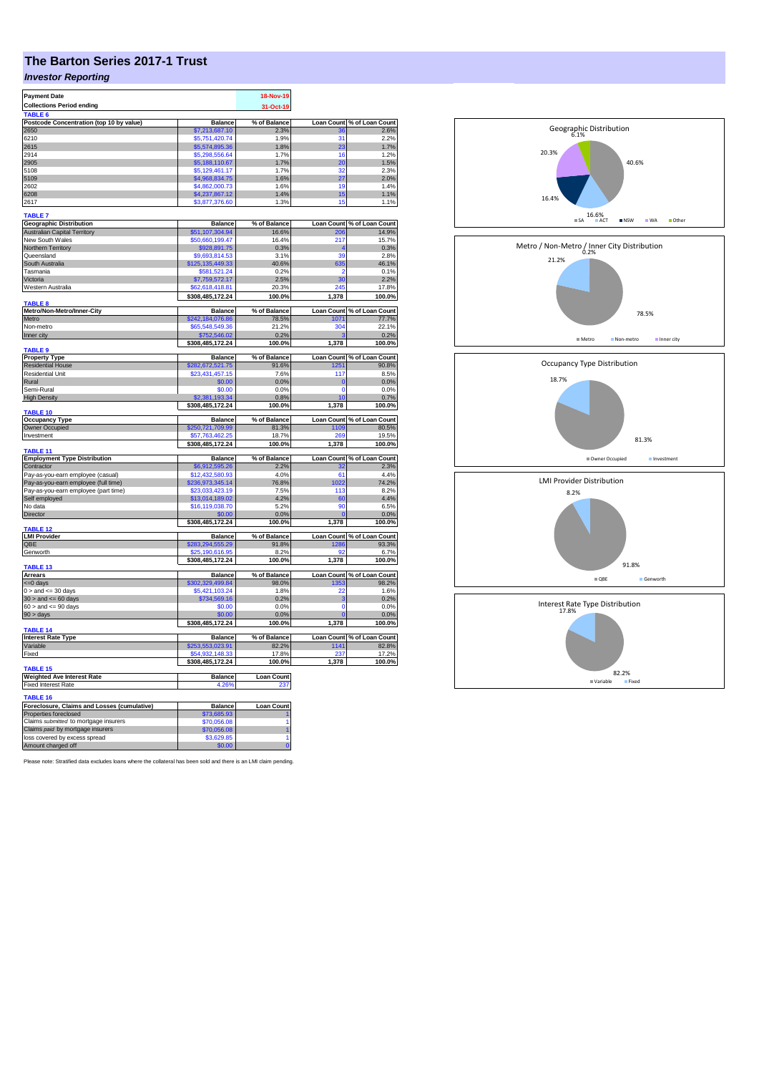# **The Barton Series 2017-1 Trust**

## *Investor Reporting*

| <b>Payment Date</b>                                               |                                     | 18-Nov-19                |                   |                                                                                              |
|-------------------------------------------------------------------|-------------------------------------|--------------------------|-------------------|----------------------------------------------------------------------------------------------|
| <b>Collections Period ending</b>                                  |                                     | 31-Oct-19                |                   |                                                                                              |
| TABLE 6<br>Postcode Concentration (top 10 by value)               | <b>Balance</b>                      | % of Balance             | <b>Loan Count</b> | % of Loan Count                                                                              |
| 2650                                                              | \$7,213,687.10                      | 2.3%                     |                   | 2.6%                                                                                         |
| 6210                                                              | \$5,751,420.74                      | 1.9%                     | 31                | 2.2%                                                                                         |
| 2615                                                              | \$5,574,895.36                      | 1.8%                     | 23                | 1.7%                                                                                         |
| 2914                                                              | \$5,298,556.64                      | 1.7%                     | 16                | 1.2%                                                                                         |
| 2905                                                              | \$5,188,110.67                      | 1.7%                     | 20                | 1.5%                                                                                         |
| 5108                                                              | \$5.129.461.17                      | 1.7%                     | 32                | 2.3%                                                                                         |
| 5109                                                              | \$4,968,834.75                      | 1.6%                     | 27                | 2.0%                                                                                         |
| 2602                                                              | \$4,862,000.73                      | 1.6%                     | 19                | 1.4%                                                                                         |
| 6208                                                              | \$4,237,867.12                      | 1.4%                     | 15                | 1.1%                                                                                         |
| 2617                                                              | \$3,877,376.60                      | 1.3%                     | 15                | 1.1%                                                                                         |
| <b>TABLE 7</b>                                                    |                                     |                          |                   |                                                                                              |
| <b>Geographic Distribution</b>                                    | <b>Balance</b>                      | % of Balance             |                   | Loan Count % of Loan Count                                                                   |
| <b>Australian Capital Territory</b>                               | \$51,107,304.94                     | 16.6%                    | 206               | 14.9%                                                                                        |
| New South Wales                                                   | \$50,660,199.47                     | 16.4%                    | 217               | 15.7%                                                                                        |
| Northern Territory                                                | \$928,891.75                        | 0.3%                     | $\overline{4}$    | 0.3%                                                                                         |
| Queensland                                                        | \$9,693,814.53                      | 3.1%                     | 39                | 2.8%                                                                                         |
| South Australia                                                   | \$125,135,449.33                    | 40.6%                    | 635               | 46.1%                                                                                        |
| Tasmania                                                          | \$581,521.24                        | 0.2%                     |                   | 0.1%                                                                                         |
| Victoria                                                          | \$7,759,572.17                      | 2.5%                     | 30                | 2.2%                                                                                         |
| Western Australia                                                 | \$62,618,418.81                     | 20.3%                    | 245               | 17.8%                                                                                        |
| <b>TABLE 8</b>                                                    | \$308,485,172.24                    | 100.0%                   | 1,378             | 100.0%                                                                                       |
| Metro/Non-Metro/Inner-City                                        | <b>Balance</b>                      | % of Balance             |                   | Loan Count % of Loan Count                                                                   |
| Metro                                                             | \$242,184,076.86                    | 78.5%                    | 1071              | 77.7%                                                                                        |
| Non-metro                                                         | \$65,548,549.36                     | 21.2%                    | 304               | 22.1%                                                                                        |
| Inner city                                                        | \$752,546.02                        | 0.2%                     |                   | 0.2%                                                                                         |
| TABLE 9                                                           | \$308,485,172.24                    | 100.0%                   | 1,378             | 100.0%                                                                                       |
| <b>Property Type</b>                                              | Balance                             | % of Balance             |                   | Loan Count % of Loan Count                                                                   |
| <b>Residential House</b>                                          | \$282,672,521.75                    | 91.6%                    | 1251              | 90.8%                                                                                        |
| <b>Residential Unit</b>                                           | \$23,431,457.15                     | 7.6%                     | 117               | 8.5%                                                                                         |
| Rural                                                             | \$0.00                              | 0.0%                     | $\mathbf 0$       | 0.0%                                                                                         |
| Semi-Rural                                                        | \$0.00                              | 0.0%                     | $\Omega$          | 0.0%                                                                                         |
| <b>High Density</b>                                               | 193.34                              | 0.8%                     | 10                | 0.7%                                                                                         |
| <b>TABLE 10</b>                                                   | \$308,485,172.24                    | 100.0%                   | 1,378             | 100.0%                                                                                       |
| <b>Occupancy Type</b>                                             | <b>Balance</b>                      | % of Balance             | <b>Loan Count</b> | % of Loan Count                                                                              |
|                                                                   |                                     |                          |                   |                                                                                              |
|                                                                   |                                     | 81.3%                    |                   |                                                                                              |
| <b>Owner Occupied</b><br>Investment                               | \$250,721,709.99<br>\$57,763,462.25 | 18.7%                    | 1109<br>269       |                                                                                              |
|                                                                   | \$308,485,172.24                    | 100.0%                   | 1,378             |                                                                                              |
| <b>TABLE 11</b>                                                   |                                     |                          |                   |                                                                                              |
| <b>Employment Type Distribution</b>                               | <b>Balance</b>                      | % of Balance             | <b>Loan Count</b> |                                                                                              |
| Contractor                                                        | \$6,912,595.26                      | 2.2%                     | 32                |                                                                                              |
| Pay-as-you-earn employee (casual)                                 | \$12.432.580.93                     | 4.0%                     | 61                |                                                                                              |
| Pay-as-you-earn employee (full time)                              | 236,973,345.14                      | 76.8%                    | 022               |                                                                                              |
| Pay-as-you-earn employee (part time)                              | \$23,033,423,19                     | 7.5%                     | 113               |                                                                                              |
| Self employed                                                     | \$13,014,189.02                     | 4.2%                     | 60                |                                                                                              |
| No data                                                           | \$16,119,038.70                     | 5.2%                     | 90                | 80.5%<br>19.5%<br>100.0%<br>% of Loan Count<br>2.3%<br>4.4%<br>74.2%<br>8.2%<br>4.4%<br>6.5% |
| Director                                                          | \$0.00                              | 0.0%                     | $\mathbf{0}$      |                                                                                              |
| <b>TABLE 12</b>                                                   | \$308,485,172.24                    | 100.0%                   | 1,378             |                                                                                              |
| <b>LMI Provider</b>                                               | <b>Balance</b>                      | % of Balance             | <b>Loan Count</b> |                                                                                              |
| QBE                                                               | \$283,294,555.29                    | 91.8%                    | 1286              |                                                                                              |
| Genworth                                                          | \$25,190,616,95                     | 8.2%                     | Q.                |                                                                                              |
|                                                                   | \$308,485,172.24                    | 100.0%                   | 1,378             | 0.0%<br>100.0%<br>% of Loan Count<br>93.3%<br>6.7%<br>100.0%                                 |
| TABLE 13<br><b>Arrears</b>                                        | <b>Balance</b>                      | % of Balance             | <b>Loan Count</b> | % of Loan Count                                                                              |
| <=0 days                                                          | \$302,329,499.84                    | 98.0%                    | 1353              | 98.2%                                                                                        |
| $0 >$ and $\lt = 30$ days                                         | \$5,421,103.24                      | 1.8%                     | 22                | 1.6%                                                                                         |
| $30 >$ and $\leq 60$ days                                         | \$734,569.16                        | 0.2%                     | ä                 |                                                                                              |
| $60 >$ and $\leq 90$ days                                         | \$0.00                              | 0.0%                     | O                 |                                                                                              |
| 90 > days                                                         | 0.00                                | 0.0%                     |                   |                                                                                              |
|                                                                   | \$308,485,172.24                    | 100.0%                   | 1,378             |                                                                                              |
| TABLE 14                                                          |                                     |                          |                   | 0.2%<br>0.0%<br>0.0%<br>100.0%                                                               |
| <b>Interest Rate Type</b>                                         | <b>Balance</b>                      | % of Balance             |                   |                                                                                              |
| Variable                                                          | \$253,553,023.91                    | 82.2%                    | 1141<br>237       |                                                                                              |
| Fixed                                                             | \$54,932,148.33<br>\$308,485,172.24 | 17.8%<br>100.0%          | 1,378             | Loan Count % of Loan Count<br>82.8%<br>17.2%<br>100.0%                                       |
| <b>TABLE 15</b>                                                   |                                     |                          |                   |                                                                                              |
| <b>Weighted Ave Interest Rate</b>                                 | <b>Balance</b><br>4.26%             | <b>Loan Count</b><br>237 |                   |                                                                                              |
| <b>Fixed Interest Rate</b>                                        |                                     |                          |                   |                                                                                              |
| <b>TABLE 16</b>                                                   |                                     |                          |                   |                                                                                              |
| Foreclosure, Claims and Losses (cumulative)                       | Balance                             | <b>Loan Count</b>        |                   |                                                                                              |
| Properties foreclosed                                             | \$73,685.93                         |                          |                   |                                                                                              |
| Claims submitted to mortgage insurers                             | \$70,056.08                         |                          |                   |                                                                                              |
| Claims paid by mortgage insurers<br>loss covered by excess spread | \$70,056.08<br>\$3,629.85           |                          |                   |                                                                                              |

Please note: Stratified data excludes loans where the collateral has been sold and there is an LMI claim pending.